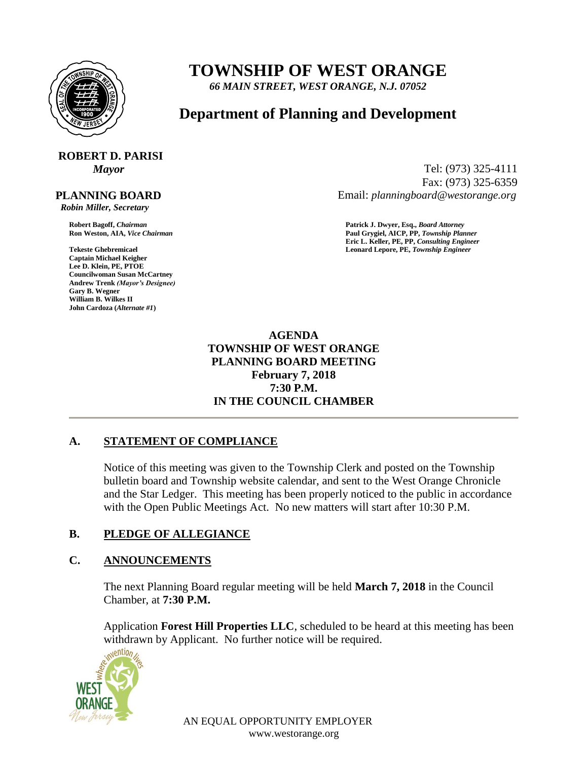

# **TOWNSHIP OF WEST ORANGE**

*66 MAIN STREET, WEST ORANGE, N.J. 07052*

# **Department of Planning and Development**

# **ROBERT D. PARISI**

# **PLANNING BOARD**

 *Robin Miller, Secretary*

**Captain Michael Keigher Lee D. Klein, PE, PTOE Councilwoman Susan McCartney Andrew Trenk** *(Mayor's Designee)* **Gary B. Wegner William B. Wilkes II John Cardoza (***Alternate #1***)**

*Mayor* Tel: (973) 325-4111 Fax: (973) 325-6359 Email: *planningboard@westorange.org*

**Robert Bagoff,** *Chairman* **Patrick J. Dwyer, Esq.,** *Board Attorney* **Ron Weston, AIA,** *Vice Chairman* **Paul Grygiel, AICP, PP,** *Township Planner* **Eric L. Keller, PE, PP,** *Consulting Engineer* **Tekeste Ghebremicael Leonard Lepore, PE,** *Township Engineer*

> **AGENDA TOWNSHIP OF WEST ORANGE PLANNING BOARD MEETING February 7, 2018 7:30 P.M. IN THE COUNCIL CHAMBER**

# **A. STATEMENT OF COMPLIANCE**

Notice of this meeting was given to the Township Clerk and posted on the Township bulletin board and Township website calendar, and sent to the West Orange Chronicle and the Star Ledger. This meeting has been properly noticed to the public in accordance with the Open Public Meetings Act. No new matters will start after 10:30 P.M.

# **B. PLEDGE OF ALLEGIANCE**

# **C. ANNOUNCEMENTS**

The next Planning Board regular meeting will be held **March 7, 2018** in the Council Chamber, at **7:30 P.M.**

Application **Forest Hill Properties LLC**, scheduled to be heard at this meeting has been withdrawn by Applicant. No further notice will be required.